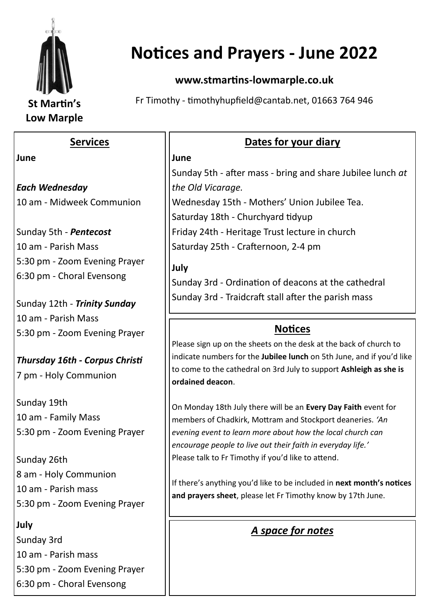

# **Notices and Prayers - June 2022**

#### **www.stmartins-lowmarple.co.uk**

Fr Timothy - timothyhupfield@cantab.net, 01663 764 946

#### **Services**

#### **June**

*Each Wednesday*  10 am - Midweek Communion

Sunday 5th - *Pentecost* 10 am - Parish Mass 5:30 pm - Zoom Evening Prayer 6:30 pm - Choral Evensong

Sunday 12th - *Trinity Sunday* 10 am - Parish Mass 5:30 pm - Zoom Evening Prayer

*Thursday 16th - Corpus Christi* 7 pm - Holy Communion

Sunday 19th 10 am - Family Mass 5:30 pm - Zoom Evening Prayer

Sunday 26th 8 am - Holy Communion 10 am - Parish mass 5:30 pm - Zoom Evening Prayer

**July** Sunday 3rd 10 am - Parish mass 5:30 pm - Zoom Evening Prayer 6:30 pm - Choral Evensong

## **Dates for your diary**

#### **June**

Sunday 5th - after mass - bring and share Jubilee lunch *at the Old Vicarage.*

Wednesday 15th - Mothers' Union Jubilee Tea. Saturday 18th - Churchyard tidyup Friday 24th - Heritage Trust lecture in church Saturday 25th - Crafternoon, 2-4 pm

#### **July**

Sunday 3rd - Ordination of deacons at the cathedral Sunday 3rd - Traidcraft stall after the parish mass

## **Notices**

Please sign up on the sheets on the desk at the back of church to indicate numbers for the **Jubilee lunch** on 5th June, and if you'd like to come to the cathedral on 3rd July to support **Ashleigh as she is ordained deacon**.

On Monday 18th July there will be an **Every Day Faith** event for members of Chadkirk, Mottram and Stockport deaneries. *'An evening event to learn more about how the local church can encourage people to live out their faith in everyday life.'*  Please talk to Fr Timothy if you'd like to attend.

If there's anything you'd like to be included in **next month's notices and prayers sheet**, please let Fr Timothy know by 17th June.

*A space for notes*